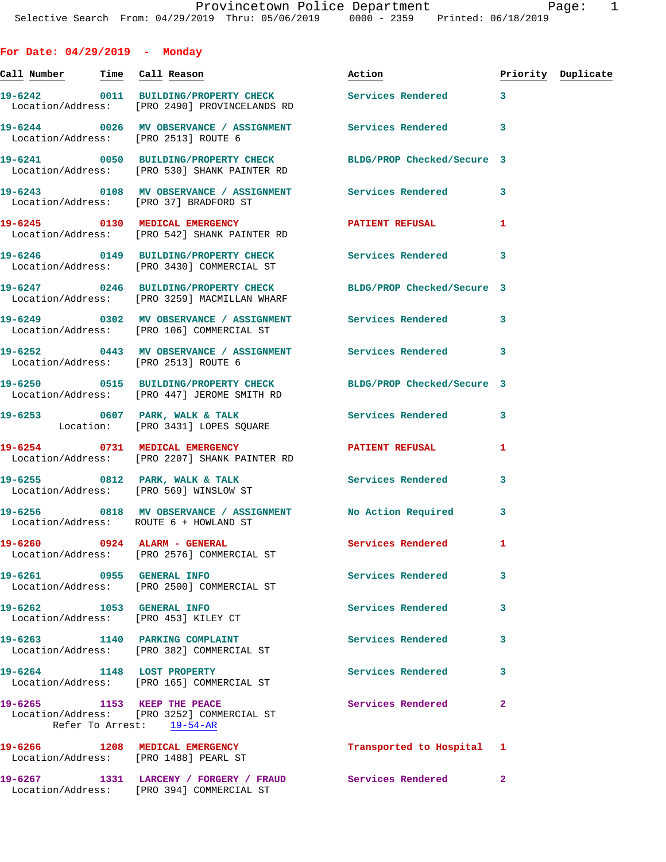| For Date: $04/29/2019$ - Monday |                                                                                                                 |                           |                         |                    |
|---------------------------------|-----------------------------------------------------------------------------------------------------------------|---------------------------|-------------------------|--------------------|
|                                 | <u>Call Number — Time Call Reason</u>                                                                           | Action                    |                         | Priority Duplicate |
|                                 | 19-6242 0011 BUILDING/PROPERTY CHECK Services Rendered 3<br>Location/Address: [PRO 2490] PROVINCELANDS RD       |                           |                         |                    |
|                                 | 19-6244 0026 MV OBSERVANCE / ASSIGNMENT Services Rendered 3<br>Location/Address: [PRO 2513] ROUTE 6             |                           |                         |                    |
|                                 | 19-6241 0050 BUILDING/PROPERTY CHECK BLDG/PROP Checked/Secure 3<br>Location/Address: [PRO 530] SHANK PAINTER RD |                           |                         |                    |
|                                 | 19-6243    0108 MV OBSERVANCE / ASSIGNMENT    Services Rendered    3<br>Location/Address: [PRO 37] BRADFORD ST  |                           |                         |                    |
|                                 | 19-6245 0130 MEDICAL EMERGENCY PATIENT REFUSAL<br>Location/Address: [PRO 542] SHANK PAINTER RD                  |                           | -1                      |                    |
|                                 | 19-6246 		 0149 BUILDING/PROPERTY CHECK Services Rendered 3<br>Location/Address: [PRO 3430] COMMERCIAL ST       |                           |                         |                    |
|                                 | 19-6247 0246 BUILDING/PROPERTY CHECK BLDG/PROP Checked/Secure 3<br>Location/Address: [PRO 3259] MACMILLAN WHARF |                           |                         |                    |
|                                 | 19-6249 0302 MV OBSERVANCE / ASSIGNMENT Services Rendered 3<br>Location/Address: [PRO 106] COMMERCIAL ST        |                           |                         |                    |
|                                 | 19-6252 0443 MV OBSERVANCE / ASSIGNMENT Services Rendered 3<br>Location/Address: [PRO 2513] ROUTE 6             |                           |                         |                    |
|                                 | 19-6250 0515 BUILDING/PROPERTY CHECK BLDG/PROP Checked/Secure 3<br>Location/Address: [PRO 447] JEROME SMITH RD  |                           |                         |                    |
|                                 | 19-6253 0607 PARK, WALK & TALK 2008 Services Rendered<br>Location: [PRO 3431] LOPES SQUARE                      |                           | $\overline{\mathbf{3}}$ |                    |
|                                 | 19-6254 0731 MEDICAL EMERGENCY<br>Location/Address: [PRO 2207] SHANK PAINTER RD                                 | PATIENT REFUSAL           | $\mathbf{1}$            |                    |
|                                 | 19-6255 0812 PARK, WALK & TALK 2008 Services Rendered<br>Location/Address: [PRO 569] WINSLOW ST                 |                           | 3                       |                    |
|                                 | 19-6256 0818 MV OBSERVANCE / ASSIGNMENT No Action Required 3<br>Location/Address: ROUTE 6 + HOWLAND ST          |                           |                         |                    |
|                                 | 19-6260 0924 ALARM - GENERAL<br>Location/Address: [PRO 2576] COMMERCIAL ST                                      | <b>Services Rendered</b>  | 1                       |                    |
| 19-6261 0955 GENERAL INFO       | Location/Address: [PRO 2500] COMMERCIAL ST                                                                      | Services Rendered         | 3                       |                    |
| 19-6262 1053 GENERAL INFO       | Location/Address: [PRO 453] KILEY CT                                                                            | <b>Services Rendered</b>  | 3                       |                    |
|                                 | 19-6263 1140 PARKING COMPLAINT<br>Location/Address: [PRO 382] COMMERCIAL ST                                     | Services Rendered         | 3                       |                    |
|                                 | 19-6264 1148 LOST PROPERTY<br>Location/Address: [PRO 165] COMMERCIAL ST                                         | Services Rendered         | 3                       |                    |
|                                 | 19-6265 1153 KEEP THE PEACE<br>Location/Address: [PRO 3252] COMMERCIAL ST<br>Refer To Arrest: 19-54-AR          | Services Rendered         | $\overline{2}$          |                    |
|                                 | 19-6266 1208 MEDICAL EMERGENCY<br>Location/Address: [PRO 1488] PEARL ST                                         | Transported to Hospital 1 |                         |                    |
|                                 | 19-6267 1331 LARCENY / FORGERY / FRAUD Services Rendered<br>Location/Address: [PRO 394] COMMERCIAL ST           |                           | $\mathbf{2}$            |                    |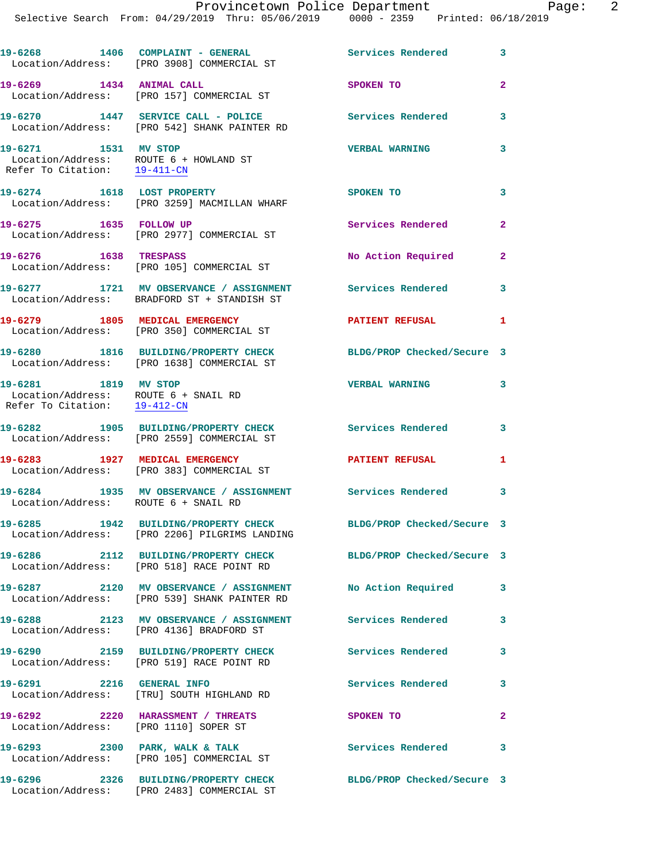Location/Address: [PRO 542] SHANK PAINTER RD **19-6271 1531 MV STOP VERBAL WARNING 3**  Location/Address: ROUTE 6 + HOWLAND ST Refer To Citation: 19-411-CN **19-6274 1618 LOST PROPERTY SPOKEN TO 3**  Location/Address: [PRO 3259] MACMILLAN WHARF 19-6275 1635 FOLLOW UP **Services Rendered** 2 Location/Address: [PRO 2977] COMMERCIAL ST

**19-6270 1447 SERVICE CALL - POLICE Services Rendered 3** 

**19-6276 1638 TRESPASS No Action Required 2**  Location/Address: [PRO 105] COMMERCIAL ST **19-6277 1721 MV OBSERVANCE / ASSIGNMENT Services Rendered 3**  Location/Address: BRADFORD ST + STANDISH ST

**19-6279 1805 MEDICAL EMERGENCY PATIENT REFUSAL 1**  Location/Address: [PRO 350] COMMERCIAL ST

**19-6280 1816 BUILDING/PROPERTY CHECK BLDG/PROP Checked/Secure 3**  Location/Address: [PRO 1638] COMMERCIAL ST

 Location/Address: ROUTE 6 + SNAIL RD Refer To Citation: 19-412-CN

**19-6282 1905 BUILDING/PROPERTY CHECK Services Rendered 3**  Location/Address: [PRO 2559] COMMERCIAL ST

19-6283 1927 MEDICAL EMERGENCY **1988** PATIENT REFUSAL 1 Location/Address: [PRO 383] COMMERCIAL ST

**19-6284 1935 MV OBSERVANCE / ASSIGNMENT Services Rendered 3**  Location/Address: ROUTE 6 + SNAIL RD

Location/Address: [PRO 2206] PILGRIMS LANDING

Location/Address: [PRO 518] RACE POINT RD

**19-6287 2120 MV OBSERVANCE / ASSIGNMENT No Action Required 3**  Location/Address: [PRO 539] SHANK PAINTER RD

**19-6288 2123 MV OBSERVANCE / ASSIGNMENT Services Rendered 3** 

Location/Address: [PRO 4136] BRADFORD ST

Location/Address: [PRO 519] RACE POINT RD

Location/Address: [TRU] SOUTH HIGHLAND RD

**19-6292 2220 HARASSMENT / THREATS SPOKEN TO 2**  Location/Address: [PRO 1110] SOPER ST

19-6293 2300 PARK, WALK & TALK 3 Services Rendered 3 Location/Address: [PRO 105] COMMERCIAL ST

**19-6296 2326 BUILDING/PROPERTY CHECK BLDG/PROP Checked/Secure 3**  Location/Address: [PRO 2483] COMMERCIAL ST

**19-6281 1819 MV STOP VERBAL WARNING 3** 

**19-6285 1942 BUILDING/PROPERTY CHECK BLDG/PROP Checked/Secure 3** 

**19-6286 2112 BUILDING/PROPERTY CHECK BLDG/PROP Checked/Secure 3** 

**19-6290 2159 BUILDING/PROPERTY CHECK Services Rendered 3** 

**19-6291 2216 GENERAL INFO Services Rendered 3**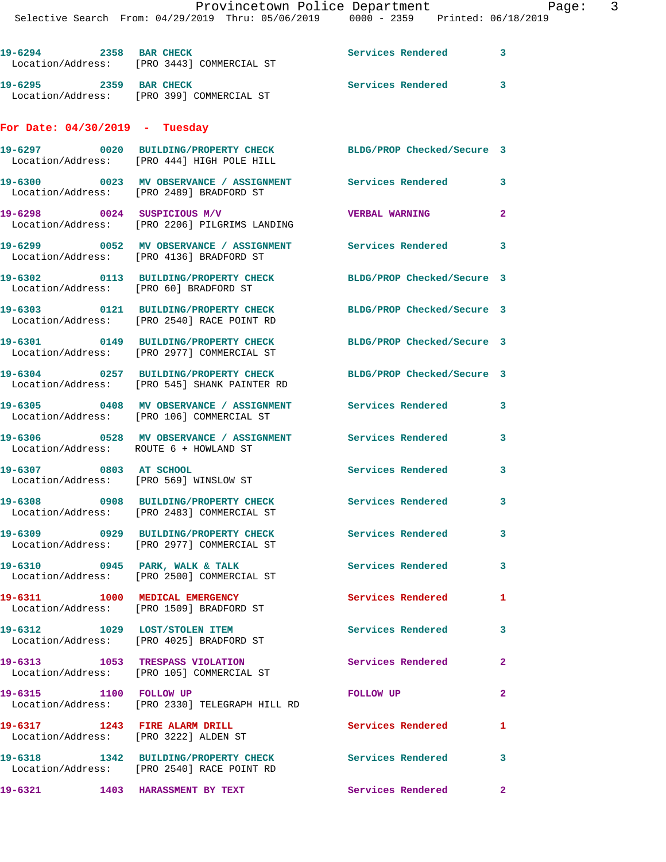| 19-6294 2358 BAR CHECK                 | Location/Address: [PRO 3443] COMMERCIAL ST                                                                    | Services Rendered          | 3              |
|----------------------------------------|---------------------------------------------------------------------------------------------------------------|----------------------------|----------------|
| 19-6295 2359 BAR CHECK                 | Location/Address: [PRO 399] COMMERCIAL ST                                                                     | Services Rendered          | 3              |
| For Date: $04/30/2019$ - Tuesday       |                                                                                                               |                            |                |
|                                        | 19-6297 0020 BUILDING/PROPERTY CHECK BLDG/PROP Checked/Secure 3<br>Location/Address: [PRO 444] HIGH POLE HILL |                            |                |
|                                        | 19-6300 0023 MV OBSERVANCE / ASSIGNMENT Services Rendered<br>Location/Address: [PRO 2489] BRADFORD ST         |                            | 3              |
|                                        | 19-6298 0024 SUSPICIOUS M/V<br>Location/Address: [PRO 2206] PILGRIMS LANDING                                  | <b>VERBAL WARNING</b>      | 2              |
|                                        | 19-6299 6052 MV OBSERVANCE / ASSIGNMENT Services Rendered<br>Location/Address: [PRO 4136] BRADFORD ST         |                            | 3              |
| Location/Address: [PRO 60] BRADFORD ST | 19-6302 0113 BUILDING/PROPERTY CHECK                                                                          | BLDG/PROP Checked/Secure 3 |                |
|                                        | 19-6303 0121 BUILDING/PROPERTY CHECK<br>Location/Address: [PRO 2540] RACE POINT RD                            | BLDG/PROP Checked/Secure 3 |                |
|                                        | 19-6301 0149 BUILDING/PROPERTY CHECK<br>Location/Address: [PRO 2977] COMMERCIAL ST                            | BLDG/PROP Checked/Secure 3 |                |
|                                        | 19-6304 0257 BUILDING/PROPERTY CHECK<br>Location/Address: [PRO 545] SHANK PAINTER RD                          | BLDG/PROP Checked/Secure 3 |                |
|                                        | 19-6305 0408 MV OBSERVANCE / ASSIGNMENT<br>Location/Address: [PRO 106] COMMERCIAL ST                          | Services Rendered          | 3              |
| Location/Address: ROUTE 6 + HOWLAND ST | 19-6306 0528 MV OBSERVANCE / ASSIGNMENT                                                                       | Services Rendered          | 3              |
| 19-6307 0803 AT SCHOOL                 | Location/Address: [PRO 569] WINSLOW ST                                                                        | <b>Services Rendered</b>   | 3              |
|                                        | 19-6308 0908 BUILDING/PROPERTY CHECK<br>Location/Address: [PRO 2483] COMMERCIAL ST                            | Services Rendered          | 3              |
|                                        | 19-6309 0929 BUILDING/PROPERTY CHECK<br>Location/Address: [PRO 2977] COMMERCIAL ST                            | Services Rendered          | 3              |
|                                        | 19-6310 0945 PARK, WALK & TALK<br>Location/Address: [PRO 2500] COMMERCIAL ST                                  | <b>Services Rendered</b>   | 3              |
| 19-6311 1000 MEDICAL EMERGENCY         | Location/Address: [PRO 1509] BRADFORD ST                                                                      | <b>Services Rendered</b>   | 1              |
| 19-6312 1029 LOST/STOLEN ITEM          | Location/Address: [PRO 4025] BRADFORD ST                                                                      | <b>Services Rendered</b>   | 3              |
|                                        | 19-6313 1053 TRESPASS VIOLATION<br>Location/Address: [PRO 105] COMMERCIAL ST                                  | Services Rendered          | $\overline{a}$ |
| 19-6315 1100 FOLLOW UP                 | Location/Address: [PRO 2330] TELEGRAPH HILL RD                                                                | <b>FOLLOW UP</b>           | 2              |
| 19-6317 1243 FIRE ALARM DRILL          | Location/Address: [PRO 3222] ALDEN ST                                                                         | Services Rendered          | 1              |
|                                        | 19-6318 1342 BUILDING/PROPERTY CHECK<br>Location/Address: [PRO 2540] RACE POINT RD                            | Services Rendered          | 3              |
|                                        | 19-6321 1403 HARASSMENT BY TEXT                                                                               | Services Rendered          | $\mathbf{2}$   |
|                                        |                                                                                                               |                            |                |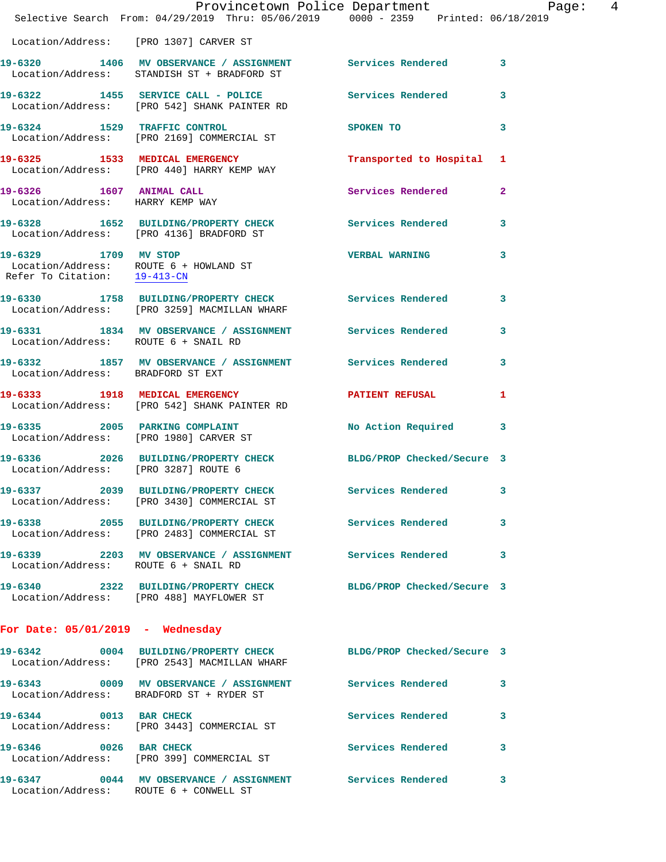|                                        | Provincetown Police Department<br>Selective Search From: 04/29/2019 Thru: 05/06/2019 0000 - 2359 Printed: 06/18/2019 |                       |   |
|----------------------------------------|----------------------------------------------------------------------------------------------------------------------|-----------------------|---|
| Location/Address: [PRO 1307] CARVER ST |                                                                                                                      |                       |   |
|                                        | 19-6320 1406 MV OBSERVANCE / ASSIGNMENT Services Rendered 3<br>Location/Address: STANDISH ST + BRADFORD ST           |                       |   |
|                                        | 19-6322 1455 SERVICE CALL - POLICE Services Rendered 3<br>Location/Address: [PRO 542] SHANK PAINTER RD               |                       |   |
|                                        | 19-6324 1529 TRAFFIC CONTROL SPOKEN TO 3<br>Location/Address: [PRO 2169] COMMERCIAL ST                               |                       |   |
|                                        | 19-6325 1533 MEDICAL EMERGENCY Transported to Hospital 1<br>Location/Address: [PRO 440] HARRY KEMP WAY               |                       |   |
| Location/Address: HARRY KEMP WAY       | 19-6326 1607 ANIMAL CALL<br>Location/Address: HAPPY KEMP HAY                                                         | Services Rendered 2   |   |
|                                        | 19-6328 1652 BUILDING/PROPERTY CHECK Services Rendered 3<br>Location/Address: [PRO 4136] BRADFORD ST                 |                       |   |
|                                        | 19-6329 1709 MV STOP<br>Location/Address: ROUTE 6 + HOWLAND ST<br>Refer To Citation: $\frac{19-413-CN}{2}$           | <b>VERBAL WARNING</b> | 3 |
|                                        | 19-6330 1758 BUILDING/PROPERTY CHECK Services Rendered 3<br>Location/Address: [PRO 3259] MACMILLAN WHARF             |                       |   |
| Location/Address: ROUTE 6 + SNAIL RD   | 19-6331 1834 MV OBSERVANCE / ASSIGNMENT Services Rendered 3                                                          |                       |   |
| Location/Address: BRADFORD ST EXT      | 19-6332 1857 MV OBSERVANCE / ASSIGNMENT Services Rendered 3                                                          |                       |   |
|                                        | 19-6333 1918 MEDICAL EMERGENCY PATIENT REFUSAL<br>Location/Address: [PRO 542] SHANK PAINTER RD                       |                       | 1 |
|                                        | 19-6335 2005 PARKING COMPLAINT NO Action Required 3<br>Location/Address: [PRO 1980] CARVER ST                        |                       |   |
|                                        | 19-6336 2026 BUILDING/PROPERTY CHECK BLDG/PROP Checked/Secure 3<br>Location/Address: [PRO 3287] ROUTE 6              |                       |   |
|                                        | 19-6337 2039 BUILDING/PROPERTY CHECK Services Rendered 3<br>Location/Address: [PRO 3430] COMMERCIAL ST               |                       |   |
|                                        | 19-6338 2055 BUILDING/PROPERTY CHECK Services Rendered<br>Location/Address: [PRO 2483] COMMERCIAL ST                 |                       | 3 |
| Location/Address: ROUTE 6 + SNAIL RD   | 19-6339 2203 MV OBSERVANCE / ASSIGNMENT Services Rendered                                                            |                       | 3 |
|                                        | 19-6340 2322 BUILDING/PROPERTY CHECK BLDG/PROP Checked/Secure 3<br>Location/Address: [PRO 488] MAYFLOWER ST          |                       |   |
| For Date: $05/01/2019$ - Wednesday     |                                                                                                                      |                       |   |
|                                        | 19-6342 0004 BUILDING/PROPERTY CHECK BLDG/PROP Checked/Secure 3<br>Location/Address: [PRO 2543] MACMILLAN WHARF      |                       |   |
|                                        | 19-6343 0009 MV OBSERVANCE / ASSIGNMENT Services Rendered 3<br>Location/Address: BRADFORD ST + RYDER ST              |                       |   |
|                                        | 19-6344 0013 BAR CHECK<br>Location/Address: [PRO 3443] COMMERCIAL ST                                                 | Services Rendered     | 3 |
| 19-6346 0026 BAR CHECK                 | Location/Address: [PRO 399] COMMERCIAL ST                                                                            | Services Rendered 3   |   |
| Location/Address: ROUTE 6 + CONWELL ST | 19-6347 0044 MV OBSERVANCE / ASSIGNMENT Services Rendered                                                            |                       | 3 |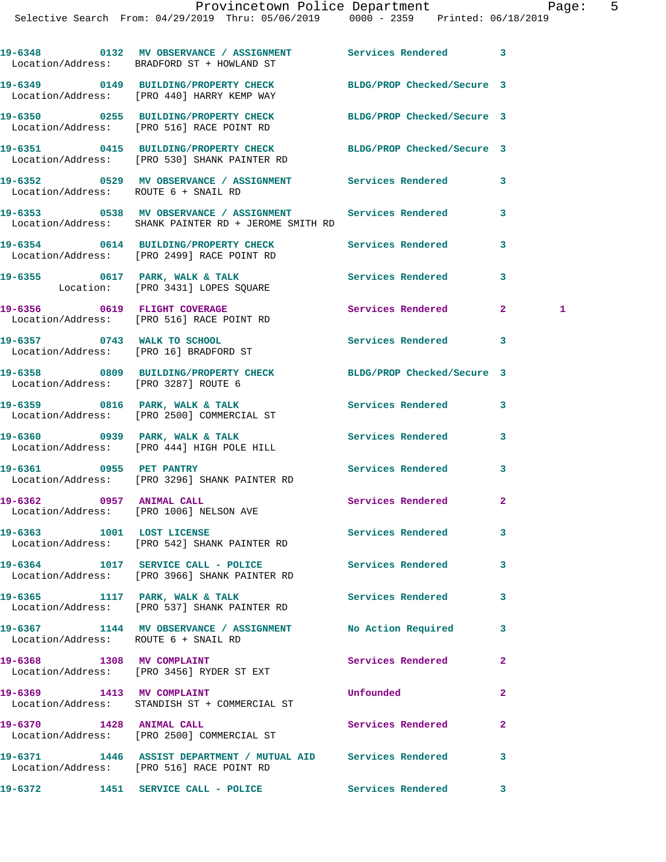|                                      | 19-6348 0132 MV OBSERVANCE / ASSIGNMENT<br>Location/Address: BRADFORD ST + HOWLAND ST                           | Services Rendered          | $\mathbf{3}$   |              |
|--------------------------------------|-----------------------------------------------------------------------------------------------------------------|----------------------------|----------------|--------------|
|                                      | 19-6349 0149 BUILDING/PROPERTY CHECK BLDG/PROP Checked/Secure 3<br>Location/Address: [PRO 440] HARRY KEMP WAY   |                            |                |              |
|                                      | 19-6350 0255 BUILDING/PROPERTY CHECK<br>Location/Address: [PRO 516] RACE POINT RD                               | BLDG/PROP Checked/Secure 3 |                |              |
|                                      | 19-6351 0415 BUILDING/PROPERTY CHECK BLDG/PROP Checked/Secure 3<br>Location/Address: [PRO 530] SHANK PAINTER RD |                            |                |              |
| Location/Address: ROUTE 6 + SNAIL RD | 19-6352 		 0529 MV OBSERVANCE / ASSIGNMENT Services Rendered                                                    |                            | 3              |              |
|                                      | Location/Address: SHANK PAINTER RD + JEROME SMITH RD                                                            |                            | 3              |              |
|                                      | 19-6354 0614 BUILDING/PROPERTY CHECK<br>Location/Address: [PRO 2499] RACE POINT RD                              | Services Rendered          | 3              |              |
|                                      | 19-6355 0617 PARK, WALK & TALK<br>Location: [PRO 3431] LOPES SQUARE                                             | Services Rendered          | 3              |              |
|                                      | 19-6356 0619 FLIGHT COVERAGE<br>Location/Address: [PRO 516] RACE POINT RD                                       | Services Rendered          | $\mathbf{2}^-$ | $\mathbf{1}$ |
|                                      | 19-6357 0743 WALK TO SCHOOL<br>Location/Address: [PRO 16] BRADFORD ST                                           | Services Rendered          | 3              |              |
| Location/Address: [PRO 3287] ROUTE 6 | 19-6358 0809 BUILDING/PROPERTY CHECK BLDG/PROP Checked/Secure 3                                                 |                            |                |              |
|                                      | 19-6359 0816 PARK, WALK & TALK<br>Location/Address: [PRO 2500] COMMERCIAL ST                                    | Services Rendered          | 3              |              |
|                                      | 19-6360 0939 PARK, WALK & TALK<br>Location/Address: [PRO 444] HIGH POLE HILL                                    | Services Rendered          | 3              |              |
|                                      | 19-6361 0955 PET PANTRY<br>Location/Address: [PRO 3296] SHANK PAINTER RD                                        | Services Rendered          | 3              |              |
|                                      | 19-6362 0957 ANIMAL CALL<br>Location/Address: [PRO 1006] NELSON AVE                                             | Services Rendered          | $\mathbf{2}$   |              |
| 19-6363 1001 LOST LICENSE            | Location/Address: [PRO 542] SHANK PAINTER RD                                                                    | <b>Services Rendered</b>   |                |              |
|                                      | 19-6364 1017 SERVICE CALL - POLICE<br>Location/Address: [PRO 3966] SHANK PAINTER RD                             | Services Rendered          | 3              |              |
|                                      | 19-6365 1117 PARK, WALK & TALK<br>Location/Address: [PRO 537] SHANK PAINTER RD                                  | Services Rendered          | 3              |              |
| Location/Address: ROUTE 6 + SNAIL RD | 19-6367 1144 MV OBSERVANCE / ASSIGNMENT No Action Required                                                      |                            | 3              |              |
| 19-6368 1308 MV COMPLAINT            | Location/Address: [PRO 3456] RYDER ST EXT                                                                       | <b>Services Rendered</b>   | $\mathbf{2}$   |              |
| 19-6369 1413 MV COMPLAINT            | Location/Address: STANDISH ST + COMMERCIAL ST                                                                   | Unfounded                  | $\overline{a}$ |              |
| 19-6370 1428 ANIMAL CALL             | Location/Address: [PRO 2500] COMMERCIAL ST                                                                      | Services Rendered          | $\mathbf{2}$   |              |
|                                      | 19-6371 1446 ASSIST DEPARTMENT / MUTUAL AID Services Rendered<br>Location/Address: [PRO 516] RACE POINT RD      |                            | 3              |              |
|                                      | 19-6372 1451 SERVICE CALL - POLICE                                                                              | <b>Services Rendered</b>   | 3              |              |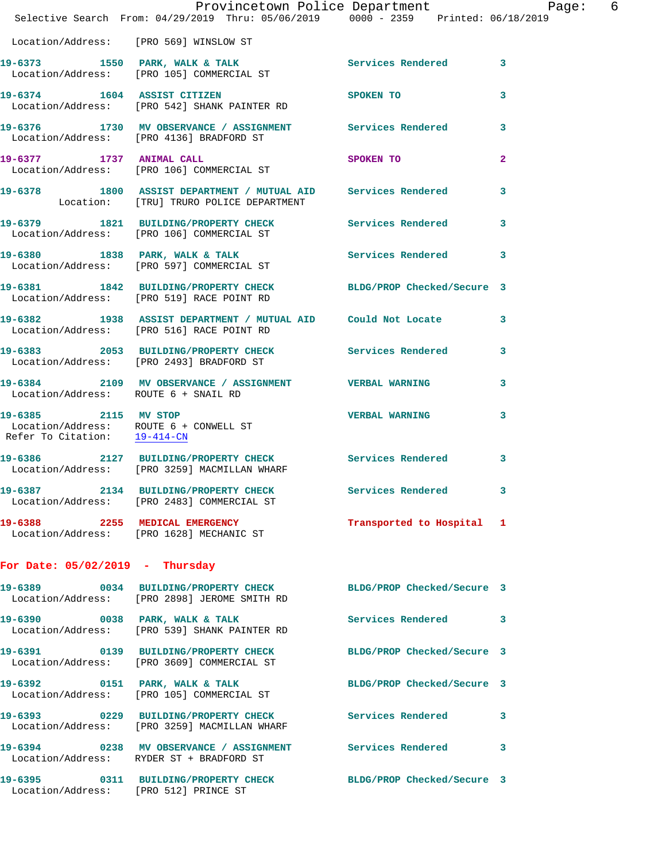|                                      | Provincetown Police Department<br>Selective Search From: 04/29/2019 Thru: 05/06/2019 0000 - 2359 Printed: 06/18/2019 |                                  |              |
|--------------------------------------|----------------------------------------------------------------------------------------------------------------------|----------------------------------|--------------|
|                                      | Location/Address: [PRO 569] WINSLOW ST                                                                               |                                  |              |
|                                      | 19-6373 1550 PARK, WALK & TALK Services Rendered 3<br>Location/Address: [PRO 105] COMMERCIAL ST                      |                                  |              |
|                                      | 19-6374 1604 ASSIST CITIZEN<br>Location/Address: [PRO 542] SHANK PAINTER RD                                          | SPOKEN TO                        | 3            |
|                                      | 19-6376 1730 MV OBSERVANCE / ASSIGNMENT Services Rendered 3<br>Location/Address: [PRO 4136] BRADFORD ST              |                                  |              |
|                                      | 19-6377 1737 ANIMAL CALL<br>Location/Address: [PRO 106] COMMERCIAL ST                                                | SPOKEN TO AND TO A THE SPOKEN TO | $\mathbf{2}$ |
|                                      | 19-6378 1800 ASSIST DEPARTMENT / MUTUAL AID Services Rendered 3<br>Location: [TRU] TRURO POLICE DEPARTMENT           |                                  |              |
|                                      | 19-6379 1821 BUILDING/PROPERTY CHECK Services Rendered 3<br>Location/Address: [PRO 106] COMMERCIAL ST                |                                  |              |
|                                      | 19-6380 1838 PARK, WALK & TALK 1999 Services Rendered<br>Location/Address: [PRO 597] COMMERCIAL ST                   |                                  | 3            |
|                                      | 19-6381 1842 BUILDING/PROPERTY CHECK BLDG/PROP Checked/Secure 3<br>Location/Address: [PRO 519] RACE POINT RD         |                                  |              |
|                                      | 19-6382 1938 ASSIST DEPARTMENT / MUTUAL AID Could Not Locate<br>Location/Address: [PRO 516] RACE POINT RD            |                                  | 3            |
|                                      | 19-6383 2053 BUILDING/PROPERTY CHECK Services Rendered 3<br>Location/Address: [PRO 2493] BRADFORD ST                 |                                  |              |
| Location/Address: ROUTE 6 + SNAIL RD | 19-6384 2109 MV OBSERVANCE / ASSIGNMENT VERBAL WARNING                                                               |                                  | 3            |
| 19-6385 2115 MV STOP                 | Location/Address: ROUTE $6 +$ CONWELL ST<br>Refer To Citation: $\frac{19-414-\text{CN}}{2}$                          | <b>VERBAL WARNING</b>            | 3            |
|                                      | 19-6386 2127 BUILDING/PROPERTY CHECK Services Rendered 3<br>Location/Address: [PRO 3259] MACMILLAN WHARF             |                                  |              |
|                                      | 19-6387 2134 BUILDING/PROPERTY CHECK<br>Location/Address: [PRO 2483] COMMERCIAL ST                                   | Services Rendered 3              |              |
|                                      | 19-6388 2255 MEDICAL EMERGENCY<br>Location/Address: [PRO 1628] MECHANIC ST                                           | Transported to Hospital 1        |              |
| For Date: $05/02/2019$ - Thursday    |                                                                                                                      |                                  |              |
|                                      | 19-6389 0034 BUILDING/PROPERTY CHECK BLDG/PROP Checked/Secure 3<br>Location/Address: [PRO 2898] JEROME SMITH RD      |                                  |              |
|                                      | 19-6390 0038 PARK, WALK & TALK<br>Location/Address: [PRO 539] SHANK PAINTER RD                                       | <b>Services Rendered</b>         | 3            |
|                                      | 19-6391 0139 BUILDING/PROPERTY CHECK BLDG/PROP Checked/Secure 3<br>Location/Address: [PRO 3609] COMMERCIAL ST        |                                  |              |
|                                      | 19-6392 0151 PARK, WALK & TALK<br>Location/Address: [PRO 105] COMMERCIAL ST                                          | BLDG/PROP Checked/Secure 3       |              |
|                                      | 19-6393 0229 BUILDING/PROPERTY CHECK Services Rendered<br>Location/Address: [PRO 3259] MACMILLAN WHARF               |                                  | 3            |
|                                      | 19-6394 0238 MV OBSERVANCE / ASSIGNMENT Services Rendered<br>Location/Address: RYDER ST + BRADFORD ST                |                                  | 3            |
|                                      | 19-6395 0311 BUILDING/PROPERTY CHECK BLDG/PROP Checked/Secure 3<br>Location/Address: [PRO 512] PRINCE ST             |                                  |              |
|                                      |                                                                                                                      |                                  |              |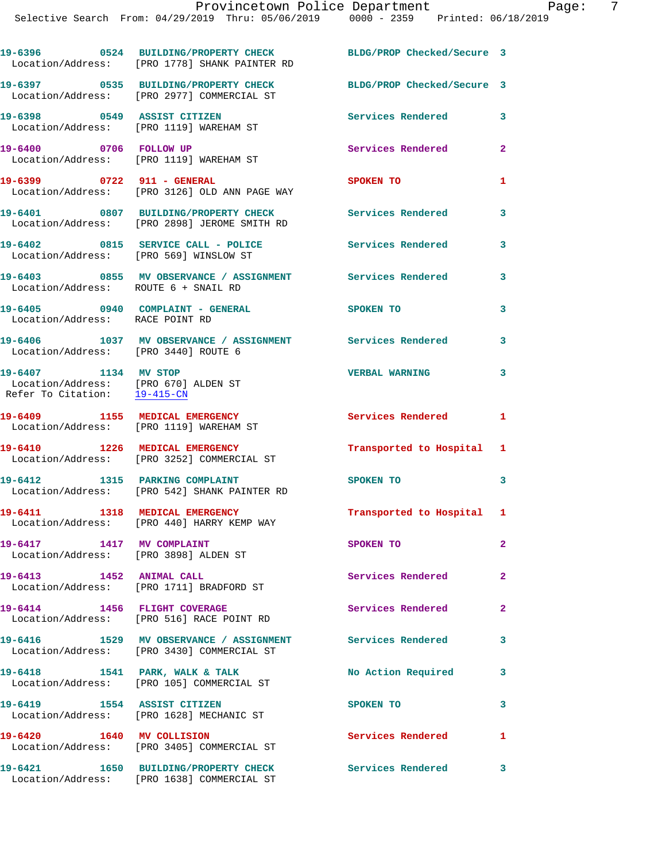|                                                                                              | 19-6396 0524 BUILDING/PROPERTY CHECK<br>Location/Address: [PRO 1778] SHANK PAINTER RD                         | BLDG/PROP Checked/Secure 3 |                |
|----------------------------------------------------------------------------------------------|---------------------------------------------------------------------------------------------------------------|----------------------------|----------------|
|                                                                                              | 19-6397 0535 BUILDING/PROPERTY CHECK BLDG/PROP Checked/Secure 3<br>Location/Address: [PRO 2977] COMMERCIAL ST |                            |                |
| 19-6398 0549 ASSIST CITIZEN                                                                  | Location/Address: [PRO 1119] WAREHAM ST                                                                       | Services Rendered          | 3              |
| 19-6400 0706 FOLLOW UP                                                                       | Location/Address: [PRO 1119] WAREHAM ST                                                                       | Services Rendered          | $\overline{a}$ |
| 19-6399 0722 911 - GENERAL                                                                   | Location/Address: [PRO 3126] OLD ANN PAGE WAY                                                                 | <b>SPOKEN TO</b>           | 1              |
|                                                                                              | 19-6401 0807 BUILDING/PROPERTY CHECK<br>Location/Address: [PRO 2898] JEROME SMITH RD                          | <b>Services Rendered</b>   | 3              |
|                                                                                              | 19-6402 0815 SERVICE CALL - POLICE 3ervices Rendered<br>Location/Address: [PRO 569] WINSLOW ST                |                            | 3              |
| Location/Address: ROUTE 6 + SNAIL RD                                                         | 19-6403 6855 MV OBSERVANCE / ASSIGNMENT Services Rendered                                                     |                            | 3              |
| Location/Address: RACE POINT RD                                                              | 19-6405 0940 COMPLAINT - GENERAL SPOKEN TO                                                                    |                            | 3              |
| Location/Address: [PRO 3440] ROUTE 6                                                         | 19-6406 1037 MV OBSERVANCE / ASSIGNMENT Services Rendered                                                     |                            | 3              |
| 19-6407 1134 MV STOP<br>Location/Address: [PRO 670] ALDEN ST<br>Refer To Citation: 19-415-CN |                                                                                                               | <b>VERBAL WARNING</b>      | 3              |
| 19-6409 1155 MEDICAL EMERGENCY                                                               | Location/Address: [PRO 1119] WAREHAM ST                                                                       | <b>Services Rendered</b>   | $\mathbf{1}$   |
|                                                                                              | 19-6410 1226 MEDICAL EMERGENCY<br>Location/Address: [PRO 3252] COMMERCIAL ST                                  | Transported to Hospital    | 1              |
|                                                                                              | 19-6412 1315 PARKING COMPLAINT<br>Location/Address: [PRO 542] SHANK PAINTER RD                                | SPOKEN TO                  | 3              |
|                                                                                              | 19-6411 1318 MEDICAL EMERGENCY<br>Location/Address: [PRO 440] HARRY KEMP WAY                                  | Transported to Hospital 1  |                |
| 19-6417 1417 MV COMPLAINT<br>Location/Address: [PRO 3898] ALDEN ST                           |                                                                                                               | SPOKEN TO                  | $\mathbf{2}$   |
| 19-6413 1452 ANIMAL CALL                                                                     | Location/Address: [PRO 1711] BRADFORD ST                                                                      | Services Rendered          | $\mathbf{2}$   |
|                                                                                              | 19-6414 1456 FLIGHT COVERAGE<br>Location/Address: [PRO 516] RACE POINT RD                                     | Services Rendered          | $\overline{2}$ |
|                                                                                              | 19-6416 1529 MV OBSERVANCE / ASSIGNMENT<br>Location/Address: [PRO 3430] COMMERCIAL ST                         | Services Rendered          | 3              |
|                                                                                              | 19-6418 1541 PARK, WALK & TALK<br>Location/Address: [PRO 105] COMMERCIAL ST                                   | No Action Required         | 3              |
| 19-6419 1554 ASSIST CITIZEN                                                                  | Location/Address: [PRO 1628] MECHANIC ST                                                                      | SPOKEN TO                  | 3              |
| 19-6420 1640 MV COLLISION                                                                    | Location/Address: [PRO 3405] COMMERCIAL ST                                                                    | Services Rendered          | 1              |
|                                                                                              | 19-6421 1650 BUILDING/PROPERTY CHECK                                                                          | <b>Services Rendered</b>   | 3              |

Location/Address: [PRO 1638] COMMERCIAL ST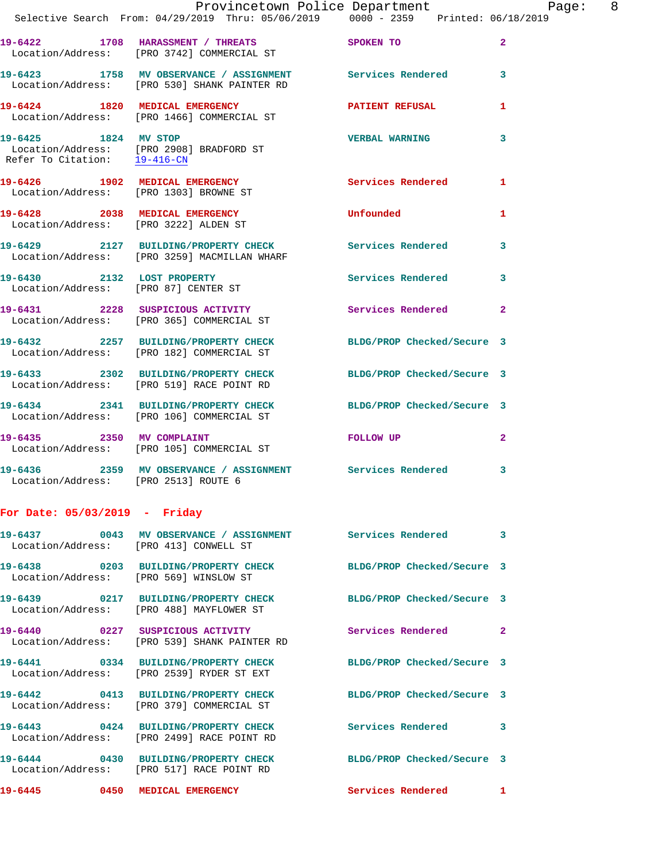|                                                                    | Provincetown Police Department<br>Selective Search From: 04/29/2019 Thru: 05/06/2019   0000 - 2359   Printed: 06/18/2019 |                                                                                                                                                                                                                               | Page: 8      |  |
|--------------------------------------------------------------------|--------------------------------------------------------------------------------------------------------------------------|-------------------------------------------------------------------------------------------------------------------------------------------------------------------------------------------------------------------------------|--------------|--|
|                                                                    | 19-6422 1708 HARASSMENT / THREATS SPOKEN TO<br>Location/Address: [PRO 3742] COMMERCIAL ST                                |                                                                                                                                                                                                                               | $\mathbf{2}$ |  |
|                                                                    | 19-6423 1758 MV OBSERVANCE / ASSIGNMENT Services Rendered 3<br>Location/Address: [PRO 530] SHANK PAINTER RD              |                                                                                                                                                                                                                               |              |  |
|                                                                    | 19-6424 1820 MEDICAL EMERGENCY<br>Location/Address: [PRO 1466] COMMERCIAL ST                                             | PATIENT REFUSAL                                                                                                                                                                                                               | $\mathbf{1}$ |  |
| 19-6425 1824 MV STOP<br>Refer To Citation: 19-416-CN               | Location/Address: [PRO 2908] BRADFORD ST                                                                                 | VERBAL WARNING 3                                                                                                                                                                                                              |              |  |
|                                                                    | 19-6426 1902 MEDICAL EMERGENCY Services Rendered<br>Location/Address: [PRO 1303] BROWNE ST                               |                                                                                                                                                                                                                               | 1            |  |
| Location/Address: [PRO 3222] ALDEN ST                              | 19-6428 2038 MEDICAL EMERGENCY                                                                                           | <b>Unfounded</b>                                                                                                                                                                                                              | $\mathbf{1}$ |  |
|                                                                    | 19-6429 2127 BUILDING/PROPERTY CHECK Services Rendered 3<br>Location/Address: [PRO 3259] MACMILLAN WHARF                 |                                                                                                                                                                                                                               |              |  |
| 19-6430 2132 LOST PROPERTY<br>Location/Address: [PRO 87] CENTER ST |                                                                                                                          | Services Rendered                                                                                                                                                                                                             | 3            |  |
|                                                                    | 19-6431 2228 SUSPICIOUS ACTIVITY<br>Location/Address: [PRO 365] COMMERCIAL ST                                            | Services Rendered 2                                                                                                                                                                                                           |              |  |
|                                                                    | 19-6432 2257 BUILDING/PROPERTY CHECK BLDG/PROP Checked/Secure 3<br>Location/Address: [PRO 182] COMMERCIAL ST             |                                                                                                                                                                                                                               |              |  |
|                                                                    | 19-6433 2302 BUILDING/PROPERTY CHECK BLDG/PROP Checked/Secure 3<br>Location/Address: [PRO 519] RACE POINT RD             |                                                                                                                                                                                                                               |              |  |
|                                                                    | 19-6434 2341 BUILDING/PROPERTY CHECK BLDG/PROP Checked/Secure 3<br>Location/Address: [PRO 106] COMMERCIAL ST             |                                                                                                                                                                                                                               |              |  |
|                                                                    | 19-6435 2350 MV COMPLAINT<br>Location/Address: [PRO 105] COMMERCIAL ST                                                   | FOLLOW UP AND THE STATE OF THE STATE OF THE STATE OF THE STATE OF THE STATE OF THE STATE OF THE STATE OF THE STATE OF THE STATE OF THE STATE OF THE STATE OF THE STATE OF THE STATE OF THE STATE OF THE STATE OF THE STATE OF | $\mathbf{2}$ |  |
| Location/Address: [PRO 2513] ROUTE 6                               | 19-6436 2359 MV OBSERVANCE / ASSIGNMENT Services Rendered 3                                                              |                                                                                                                                                                                                                               |              |  |
| For Date: $05/03/2019$ - Friday                                    |                                                                                                                          |                                                                                                                                                                                                                               |              |  |
| Location/Address: [PRO 413] CONWELL ST                             | 19-6437 60043 MV OBSERVANCE / ASSIGNMENT Services Rendered 3                                                             |                                                                                                                                                                                                                               |              |  |
| Location/Address: [PRO 569] WINSLOW ST                             | 19-6438 0203 BUILDING/PROPERTY CHECK                                                                                     | BLDG/PROP Checked/Secure 3                                                                                                                                                                                                    |              |  |
|                                                                    | 19-6439 0217 BUILDING/PROPERTY CHECK BLDG/PROP Checked/Secure 3<br>Location/Address: [PRO 488] MAYFLOWER ST              |                                                                                                                                                                                                                               |              |  |
|                                                                    | Location/Address: [PRO 539] SHANK PAINTER RD                                                                             | Services Rendered 2                                                                                                                                                                                                           |              |  |
|                                                                    | 19-6441 0334 BUILDING/PROPERTY CHECK BLDG/PROP Checked/Secure 3<br>Location/Address: [PRO 2539] RYDER ST EXT             |                                                                                                                                                                                                                               |              |  |
|                                                                    | 19-6442 0413 BUILDING/PROPERTY CHECK<br>Location/Address: [PRO 379] COMMERCIAL ST                                        | BLDG/PROP Checked/Secure 3                                                                                                                                                                                                    |              |  |
|                                                                    |                                                                                                                          |                                                                                                                                                                                                                               |              |  |

**19-6443 0424 BUILDING/PROPERTY CHECK Services Rendered 3**  Location/Address: [PRO 2499] RACE POINT RD

**19-6444 0430 BUILDING/PROPERTY CHECK BLDG/PROP Checked/Secure 3**  Location/Address: [PRO 517] RACE POINT RD

**19-6445 0450 MEDICAL EMERGENCY Services Rendered 1**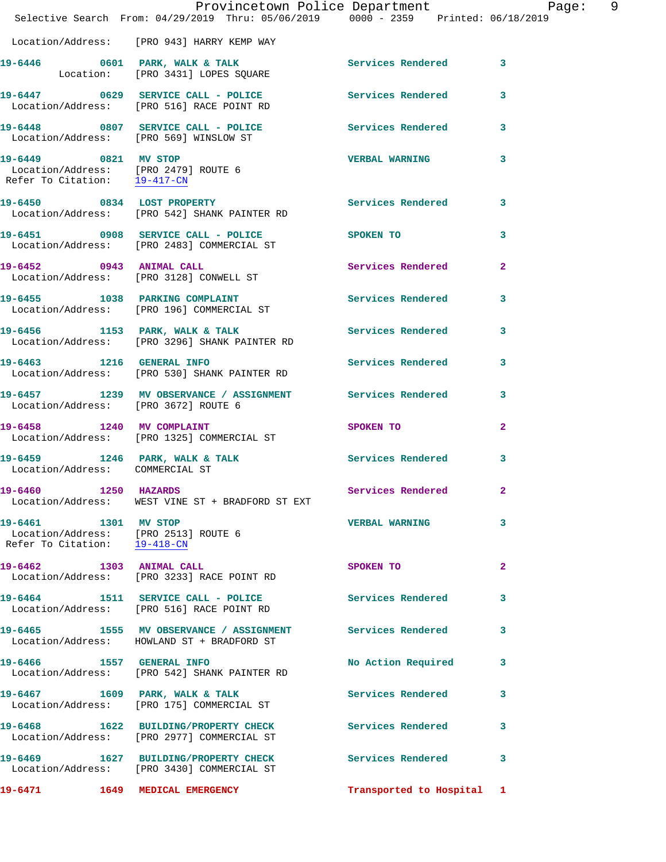|                                                      | Provincetown Police Department Page: 9<br>Selective Search From: 04/29/2019 Thru: 05/06/2019 0000 - 2359 Printed: 06/18/2019 |                           |              |
|------------------------------------------------------|------------------------------------------------------------------------------------------------------------------------------|---------------------------|--------------|
|                                                      | Location/Address: [PRO 943] HARRY KEMP WAY                                                                                   |                           |              |
|                                                      | 19-6446 0601 PARK, WALK & TALK Services Rendered 3<br>Location: [PRO 3431] LOPES SQUARE                                      |                           |              |
|                                                      | 19-6447 0629 SERVICE CALL - POLICE Services Rendered 3<br>Location/Address: [PRO 516] RACE POINT RD                          |                           |              |
|                                                      | 19-6448 0807 SERVICE CALL - POLICE Services Rendered 3<br>Location/Address: [PRO 569] WINSLOW ST                             |                           |              |
|                                                      | 19-6449 0821 MV STOP<br>Location/Address: [PRO 2479] ROUTE 6<br>Refer To Citation: 19-417-CN                                 | <b>VERBAL WARNING</b>     | 3            |
|                                                      | 19-6450 0834 LOST PROPERTY<br>Location/Address: [PRO 542] SHANK PAINTER RD                                                   | Services Rendered 3       |              |
|                                                      | 19-6451 0908 SERVICE CALL - POLICE SPOKEN TO<br>Location/Address: [PRO 2483] COMMERCIAL ST                                   |                           | 3            |
|                                                      | 19-6452 0943 ANIMAL CALL<br>Location/Address: [PRO 3128] CONWELL ST                                                          | Services Rendered         | $\mathbf{2}$ |
|                                                      | 19-6455 1038 PARKING COMPLAINT Services Rendered 3<br>Location/Address: [PRO 196] COMMERCIAL ST                              |                           |              |
|                                                      | 19-6456 1153 PARK, WALK & TALK Services Rendered<br>Location/Address: [PRO 3296] SHANK PAINTER RD                            |                           | 3            |
|                                                      | 19-6463 1216 GENERAL INFO Services Rendered 3<br>Location/Address: [PRO 530] SHANK PAINTER RD                                |                           |              |
|                                                      | 19-6457 1239 MV OBSERVANCE / ASSIGNMENT Services Rendered<br>Location/Address: [PRO 3672] ROUTE 6                            |                           | 3            |
| 19-6458 1240 MV COMPLAINT                            | Location/Address: [PRO 1325] COMMERCIAL ST                                                                                   | SPOKEN TO                 | $\mathbf{2}$ |
| Location/Address: COMMERCIAL ST                      | 19-6459 1246 PARK, WALK & TALK 1999 Services Rendered 3                                                                      |                           |              |
| 19-6460 1250 HAZARDS                                 | Location/Address: WEST VINE ST + BRADFORD ST EXT                                                                             | Services Rendered 2       |              |
| 19-6461 1301 MV STOP<br>Refer To Citation: 19-418-CN | Location/Address: [PRO 2513] ROUTE 6                                                                                         | <b>VERBAL WARNING</b>     | 3            |
|                                                      | 19-6462 1303 ANIMAL CALL<br>Location/Address: [PRO 3233] RACE POINT RD                                                       | SPOKEN TO                 | $\mathbf{2}$ |
|                                                      | 19-6464 1511 SERVICE CALL - POLICE<br>Location/Address: [PRO 516] RACE POINT RD                                              | <b>Services Rendered</b>  | 3            |
|                                                      | 19-6465 1555 MV OBSERVANCE / ASSIGNMENT Services Rendered<br>Location/Address: HOWLAND ST + BRADFORD ST                      |                           | 3            |
| 19-6466 1557 GENERAL INFO                            | Location/Address: [PRO 542] SHANK PAINTER RD                                                                                 | No Action Required 3      |              |
|                                                      | 19-6467 1609 PARK, WALK & TALK<br>Location/Address: [PRO 175] COMMERCIAL ST                                                  | Services Rendered         | 3            |
|                                                      | 19-6468 1622 BUILDING/PROPERTY CHECK Services Rendered<br>Location/Address: [PRO 2977] COMMERCIAL ST                         |                           | 3            |
|                                                      | 19-6469 1627 BUILDING/PROPERTY CHECK Services Rendered<br>Location/Address: [PRO 3430] COMMERCIAL ST                         |                           | 3            |
|                                                      | 19-6471 1649 MEDICAL EMERGENCY                                                                                               | Transported to Hospital 1 |              |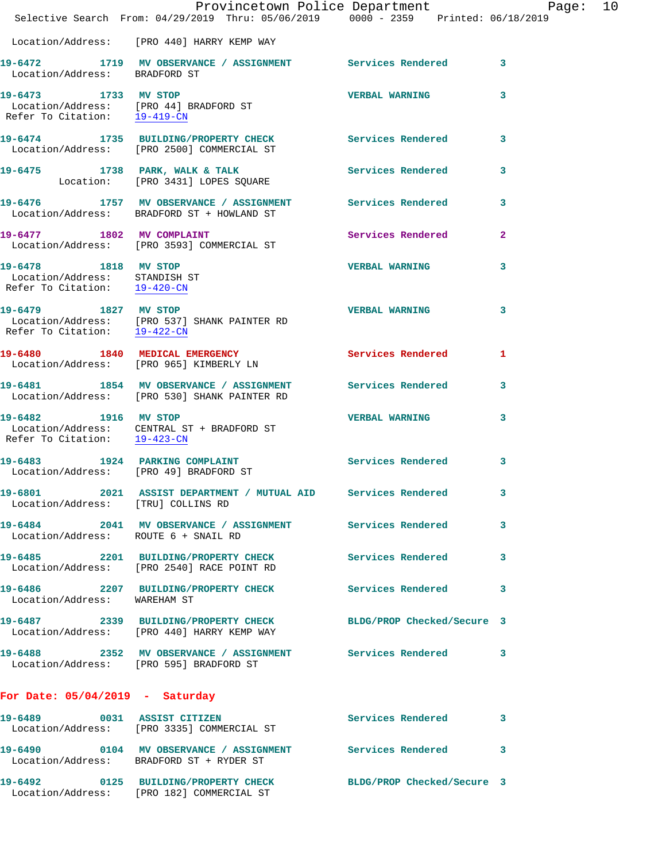|                                                                                       | Provincetown Police Department<br>Selective Search From: 04/29/2019 Thru: 05/06/2019 0000 - 2359 Printed: 06/18/2019 |                            | Page:                   | 10 |
|---------------------------------------------------------------------------------------|----------------------------------------------------------------------------------------------------------------------|----------------------------|-------------------------|----|
|                                                                                       | Location/Address: [PRO 440] HARRY KEMP WAY                                                                           |                            |                         |    |
|                                                                                       | 19-6472   1719 MV OBSERVANCE / ASSIGNMENT   Services Rendered   3<br>Location/Address: BRADFORD ST                   |                            |                         |    |
| Refer To Citation: $19-419-CN$                                                        | 19-6473 1733 MV STOP<br>Location/Address: [PRO 44] BRADFORD ST                                                       | VERBAL WARNING 3           |                         |    |
|                                                                                       | 19-6474 1735 BUILDING/PROPERTY CHECK Services Rendered 3<br>Location/Address: [PRO 2500] COMMERCIAL ST               |                            |                         |    |
|                                                                                       | 19-6475 1738 PARK, WALK & TALK Services Rendered<br>Location: [PRO 3431] LOPES SQUARE                                |                            | $\mathbf{3}$            |    |
|                                                                                       | 19-6476 1757 MV OBSERVANCE / ASSIGNMENT Services Rendered 3<br>Location/Address: BRADFORD ST + HOWLAND ST            |                            |                         |    |
|                                                                                       | 19-6477 1802 MV COMPLAINT<br>Location/Address: [PRO 3593] COMMERCIAL ST                                              | <b>Services Rendered</b>   | $\mathbf{2}$            |    |
| 19-6478 1818 MV STOP<br>Location/Address: STANDISH ST<br>Refer To Citation: 19-420-CN |                                                                                                                      | VERBAL WARNING             | 3                       |    |
| Refer To Citation: $19-422-CN$                                                        | 19-6479 1827 MV STOP<br>Location/Address: [PRO 537] SHANK PAINTER RD                                                 | <b>VERBAL WARNING</b>      | $\overline{\mathbf{3}}$ |    |
|                                                                                       | 19-6480 1840 MEDICAL EMERGENCY Services Rendered<br>Location/Address: [PRO 965] KIMBERLY LN                          |                            | 1                       |    |
|                                                                                       | 19-6481 1854 MV OBSERVANCE / ASSIGNMENT Services Rendered 3<br>Location/Address: [PRO 530] SHANK PAINTER RD          |                            |                         |    |
|                                                                                       | 19-6482 1916 MV STOP<br>Location/Address: CENTRAL ST + BRADFORD ST<br>Refer To Citation: $\frac{19-423-CN}{2}$       | <b>VERBAL WARNING</b>      | 3                       |    |
|                                                                                       | 19-6483 1924 PARKING COMPLAINT<br>Location/Address: [PRO 49] BRADFORD ST                                             | Services Rendered          | 3                       |    |
| Location/Address: [TRU] COLLINS RD                                                    | 19-6801 2021 ASSIST DEPARTMENT / MUTUAL AID Services Rendered                                                        |                            | 3                       |    |
| Location/Address: ROUTE 6 + SNAIL RD                                                  | 19-6484 2041 MV OBSERVANCE / ASSIGNMENT Services Rendered                                                            |                            | 3                       |    |
|                                                                                       | 19-6485 2201 BUILDING/PROPERTY CHECK<br>Location/Address: [PRO 2540] RACE POINT RD                                   | Services Rendered          | 3                       |    |
| Location/Address: WAREHAM ST                                                          | 19-6486 2207 BUILDING/PROPERTY CHECK Services Rendered 3                                                             |                            |                         |    |
|                                                                                       | 19-6487 2339 BUILDING/PROPERTY CHECK<br>Location/Address: [PRO 440] HARRY KEMP WAY                                   | BLDG/PROP Checked/Secure 3 |                         |    |
|                                                                                       | 19-6488 2352 MV OBSERVANCE / ASSIGNMENT Services Rendered 3<br>Location/Address: [PRO 595] BRADFORD ST               |                            |                         |    |
| For Date: $05/04/2019$ - Saturday                                                     |                                                                                                                      |                            |                         |    |
|                                                                                       | 19-6489 0031 ASSIST CITIZEN<br>Location/Address: [PRO 3335] COMMERCIAL ST                                            | Services Rendered 3        |                         |    |
|                                                                                       | 19-6490 0104 MV OBSERVANCE / ASSIGNMENT Services Rendered<br>Location/Address: BRADFORD ST + RYDER ST                |                            | 3                       |    |
|                                                                                       | 19-6492 0125 BUILDING/PROPERTY CHECK BLDG/PROP Checked/Secure 3<br>Location/Address: [PRO 182] COMMERCIAL ST         |                            |                         |    |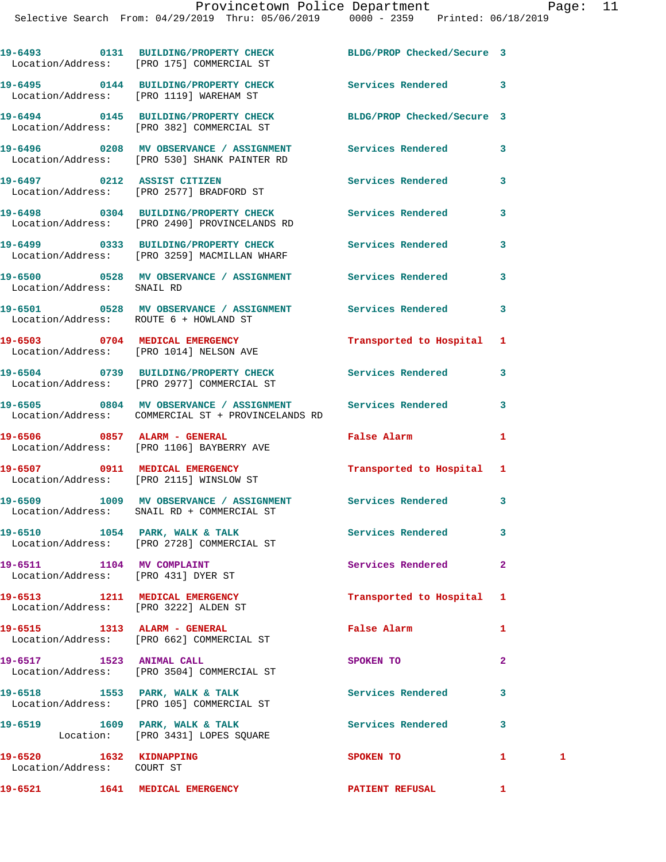|                                                                  | 19-6493 0131 BUILDING/PROPERTY CHECK<br>Location/Address: [PRO 175] COMMERCIAL ST                               | BLDG/PROP Checked/Secure 3 |                |   |
|------------------------------------------------------------------|-----------------------------------------------------------------------------------------------------------------|----------------------------|----------------|---|
|                                                                  | 19-6495 0144 BUILDING/PROPERTY CHECK<br>Location/Address: [PRO 1119] WAREHAM ST                                 | Services Rendered          | 3              |   |
|                                                                  | 19-6494 0145 BUILDING/PROPERTY CHECK<br>Location/Address: [PRO 382] COMMERCIAL ST                               | BLDG/PROP Checked/Secure 3 |                |   |
|                                                                  | 19-6496 6208 MV OBSERVANCE / ASSIGNMENT Services Rendered<br>Location/Address: [PRO 530] SHANK PAINTER RD       |                            | 3              |   |
|                                                                  | 19-6497 0212 ASSIST CITIZEN<br>Location/Address: [PRO 2577] BRADFORD ST                                         | Services Rendered          | 3              |   |
|                                                                  | 19-6498 0304 BUILDING/PROPERTY CHECK Services Rendered<br>Location/Address: [PRO 2490] PROVINCELANDS RD         |                            | 3              |   |
|                                                                  | 19-6499 		 0333 BUILDING/PROPERTY CHECK Services Rendered<br>Location/Address: [PRO 3259] MACMILLAN WHARF       |                            | 3              |   |
| Location/Address: SNAIL RD                                       | 19-6500 0528 MV OBSERVANCE / ASSIGNMENT Services Rendered                                                       |                            | 3              |   |
| Location/Address: ROUTE 6 + HOWLAND ST                           | 19-6501 0528 MV OBSERVANCE / ASSIGNMENT Services Rendered                                                       |                            | 3              |   |
|                                                                  | 19-6503 0704 MEDICAL EMERGENCY<br>Location/Address: [PRO 1014] NELSON AVE                                       | Transported to Hospital    | 1              |   |
|                                                                  | 19-6504 0739 BUILDING/PROPERTY CHECK<br>Location/Address: [PRO 2977] COMMERCIAL ST                              | Services Rendered          | 3              |   |
|                                                                  | 19-6505 0804 MV OBSERVANCE / ASSIGNMENT Services Rendered<br>Location/Address: COMMERCIAL ST + PROVINCELANDS RD |                            | 3              |   |
|                                                                  | 19-6506 0857 ALARM - GENERAL<br>Location/Address: [PRO 1106] BAYBERRY AVE                                       | <b>False Alarm</b>         | 1              |   |
|                                                                  | 19-6507 0911 MEDICAL EMERGENCY<br>Location/Address: [PRO 2115] WINSLOW ST                                       | Transported to Hospital    | 1              |   |
|                                                                  | 19-6509 1009 MV OBSERVANCE / ASSIGNMENT Services Rendered<br>Location/Address: SNAIL RD + COMMERCIAL ST         |                            | 3              |   |
|                                                                  | $19-6510$ $1054$ PARK, WALK & TALK<br>Location/Address: [PRO 2728] COMMERCIAL ST                                | Services Rendered          |                |   |
| 19-6511 1104 MV COMPLAINT<br>Location/Address: [PRO 431] DYER ST |                                                                                                                 | Services Rendered          | $\overline{2}$ |   |
|                                                                  | 19-6513 1211 MEDICAL EMERGENCY<br>Location/Address: [PRO 3222] ALDEN ST                                         | Transported to Hospital    | 1              |   |
|                                                                  | 19-6515 1313 ALARM - GENERAL<br>Location/Address: [PRO 662] COMMERCIAL ST                                       | False Alarm                | 1              |   |
| 19-6517 1523 ANIMAL CALL                                         | Location/Address: [PRO 3504] COMMERCIAL ST                                                                      | SPOKEN TO                  | $\mathbf{2}$   |   |
|                                                                  | 19-6518 1553 PARK, WALK & TALK<br>Location/Address: [PRO 105] COMMERCIAL ST                                     | Services Rendered          | 3              |   |
|                                                                  | 19-6519 1609 PARK, WALK & TALK<br>Location: [PRO 3431] LOPES SQUARE                                             | Services Rendered          | 3              |   |
| 19-6520 1632 KIDNAPPING<br>Location/Address: COURT ST            |                                                                                                                 | SPOKEN TO                  | $\mathbf{1}$   | 1 |
| 19-6521 1641 MEDICAL EMERGENCY                                   |                                                                                                                 | <b>PATIENT REFUSAL</b>     | 1              |   |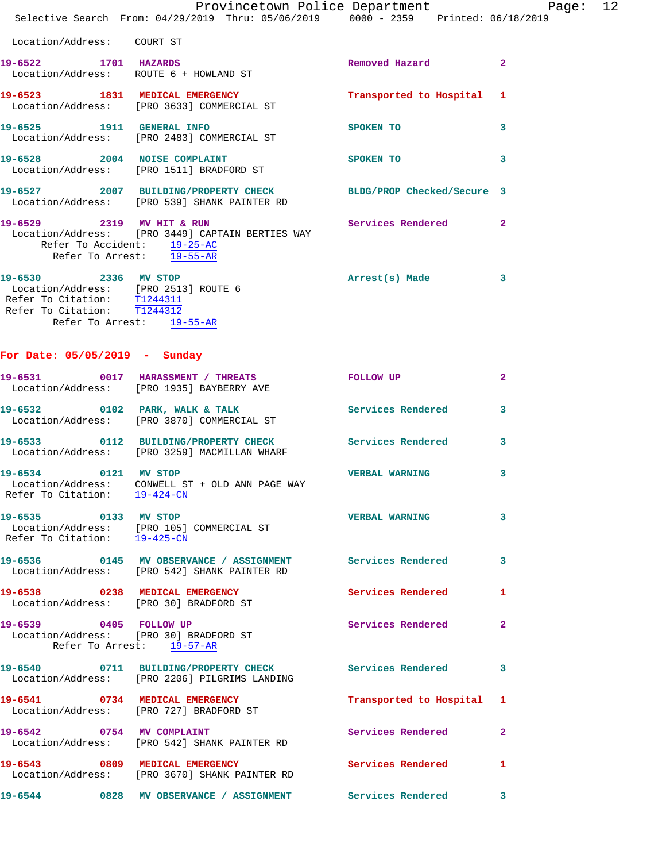|                                                                                                                                                         |                           |  | Provincetown Police Department Page: 12<br>Selective Search From: 04/29/2019 Thru: 05/06/2019 0000 - 2359 Printed: 06/18/2019 |                         |  |
|---------------------------------------------------------------------------------------------------------------------------------------------------------|---------------------------|--|-------------------------------------------------------------------------------------------------------------------------------|-------------------------|--|
| Location/Address: COURT ST                                                                                                                              |                           |  |                                                                                                                               |                         |  |
| 19-6522 1701 HAZARDS<br>Location/Address: ROUTE 6 + HOWLAND ST                                                                                          |                           |  | Removed Hazard 2                                                                                                              |                         |  |
| Location/Address: [PRO 3633] COMMERCIAL ST                                                                                                              |                           |  | 19-6523 1831 MEDICAL EMERGENCY Transported to Hospital 1                                                                      |                         |  |
| 19-6525 1911 GENERAL INFO<br>Location/Address: [PRO 2483] COMMERCIAL ST                                                                                 |                           |  | SPOKEN TO                                                                                                                     | $\overline{\mathbf{3}}$ |  |
| 19-6528 2004 NOISE COMPLAINT<br>Location/Address: [PRO 1511] BRADFORD ST                                                                                |                           |  | SPOKEN TO                                                                                                                     | 3                       |  |
| Location/Address: [PRO 539] SHANK PAINTER RD                                                                                                            |                           |  | 19-6527 2007 BUILDING/PROPERTY CHECK BLDG/PROP Checked/Secure 3                                                               |                         |  |
| Refer To Accident: 19-25-AC<br>Refer To Arrest: 19-55-AR                                                                                                |                           |  | Services Rendered 2                                                                                                           |                         |  |
| 19-6530 2336 MV STOP<br>Location/Address: [PRO 2513] ROUTE 6<br>Refer To Citation: T1244311<br>Refer To Citation: T1244312<br>Refer To Arrest: 19-55-AR |                           |  | Arrest(s) Made                                                                                                                | 3                       |  |
| For Date: $05/05/2019$ - Sunday                                                                                                                         |                           |  |                                                                                                                               |                         |  |
| 19-6531 0017 HARASSMENT / THREATS TOLLOW UP<br>Location/Address: [PRO 1935] BAYBERRY AVE                                                                |                           |  |                                                                                                                               | $\mathbf{2}$            |  |
| 19-6532 0102 PARK, WALK & TALK<br>Location/Address: [PRO 3870] COMMERCIAL ST                                                                            |                           |  | Services Rendered                                                                                                             | 3                       |  |
| Location/Address: [PRO 3259] MACMILLAN WHARF                                                                                                            |                           |  | 19-6533 0112 BUILDING/PROPERTY CHECK Services Rendered 3                                                                      |                         |  |
| 19-6534 0121 MV STOP<br>Location/Address: CONWELL ST + OLD ANN PAGE WAY<br>Refer To Citation: 19-424-CN                                                 |                           |  | <b>VERBAL WARNING</b>                                                                                                         | 3                       |  |
| 19-6535 0133 MV STOP<br>Location/Address: [PRO 105] COMMERCIAL ST<br>Refer To Citation: 19-425-CN                                                       |                           |  | <b>VERBAL WARNING</b>                                                                                                         | 3                       |  |
| Location/Address: [PRO 542] SHANK PAINTER RD                                                                                                            |                           |  | 19-6536 6145 MV OBSERVANCE / ASSIGNMENT Services Rendered                                                                     | 3                       |  |
| 19-6538 0238 MEDICAL EMERGENCY<br>Location/Address: [PRO 30] BRADFORD ST                                                                                |                           |  | Services Rendered                                                                                                             | -1                      |  |
| 19-6539 0405 FOLLOW UP<br>Location/Address: [PRO 30] BRADFORD ST                                                                                        | Refer To Arrest: 19-57-AR |  | Services Rendered                                                                                                             | $\mathbf{2}$            |  |
| 19-6540 0711 BUILDING/PROPERTY CHECK<br>Location/Address: [PRO 2206] PILGRIMS LANDING                                                                   |                           |  | Services Rendered                                                                                                             | 3                       |  |
| 19-6541 0734 MEDICAL EMERGENCY<br>Location/Address: [PRO 727] BRADFORD ST                                                                               |                           |  | Transported to Hospital 1                                                                                                     |                         |  |
| 19-6542 0754 MV COMPLAINT<br>Location/Address: [PRO 542] SHANK PAINTER RD                                                                               |                           |  | Services Rendered                                                                                                             | $\mathbf{2}$            |  |
| 19-6543 0809 MEDICAL EMERGENCY<br>Location/Address: [PRO 3670] SHANK PAINTER RD                                                                         |                           |  | Services Rendered                                                                                                             | -1                      |  |
|                                                                                                                                                         |                           |  | 19-6544 0828 MV OBSERVANCE / ASSIGNMENT Services Rendered                                                                     | 3                       |  |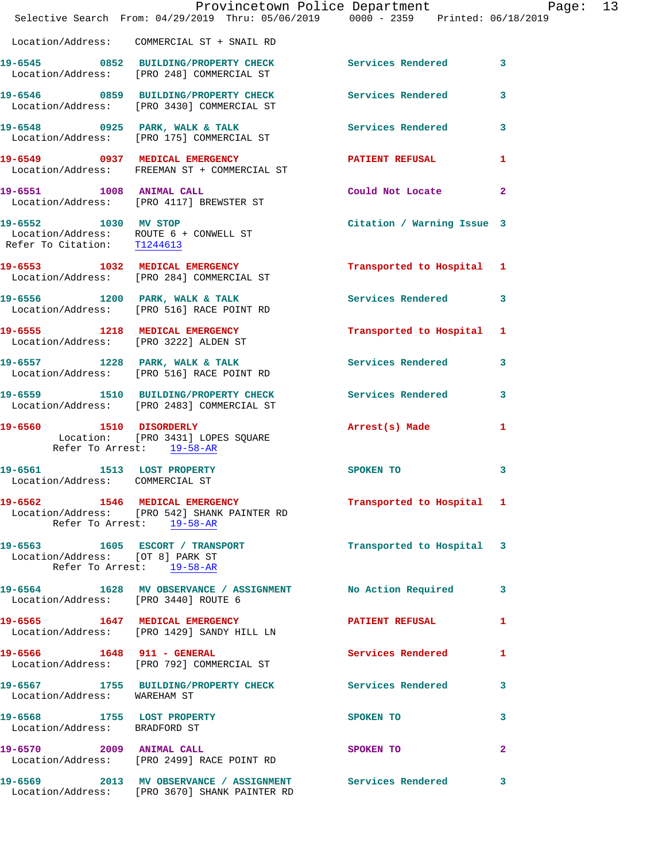|                                                               | Provincetown Police Department Page: 13<br>Selective Search From: 04/29/2019 Thru: 05/06/2019 0000 - 2359 Printed: 06/18/2019 |                            |              |
|---------------------------------------------------------------|-------------------------------------------------------------------------------------------------------------------------------|----------------------------|--------------|
|                                                               | Location/Address: COMMERCIAL ST + SNAIL RD                                                                                    |                            |              |
|                                                               | 19-6545 0852 BUILDING/PROPERTY CHECK Services Rendered 3<br>Location/Address: [PRO 248] COMMERCIAL ST                         |                            |              |
|                                                               | 19-6546 0859 BUILDING/PROPERTY CHECK Services Rendered<br>Location/Address: [PRO 3430] COMMERCIAL ST                          |                            | 3            |
|                                                               | 19-6548 0925 PARK, WALK & TALK 3 Services Rendered<br>Location/Address: [PRO 175] COMMERCIAL ST                               |                            | $\mathbf{3}$ |
|                                                               | 19-6549 0937 MEDICAL EMERGENCY PATIENT REFUSAL<br>Location/Address: FREEMAN ST + COMMERCIAL ST                                |                            | 1            |
| 19-6551 1008 ANIMAL CALL                                      | Location/Address: [PRO 4117] BREWSTER ST                                                                                      | Could Not Locate           | $\mathbf{2}$ |
| Refer To Citation: T1244613                                   | 19-6552 1030 MV STOP<br>Location/Address: ROUTE 6 + CONWELL ST                                                                | Citation / Warning Issue 3 |              |
|                                                               | 19-6553 1032 MEDICAL EMERGENCY<br>Location/Address: [PRO 284] COMMERCIAL ST                                                   | Transported to Hospital 1  |              |
|                                                               | 19-6556 1200 PARK, WALK & TALK<br>Location/Address: [PRO 516] RACE POINT RD                                                   | Services Rendered 3        |              |
|                                                               | 19-6555 1218 MEDICAL EMERGENCY Transported to Hospital 1<br>Location/Address: [PRO 3222] ALDEN ST                             |                            |              |
|                                                               | 19-6557 1228 PARK, WALK & TALK<br>Location/Address: [PRO 516] RACE POINT RD                                                   | Services Rendered 3        |              |
|                                                               | 19-6559 1510 BUILDING/PROPERTY CHECK Services Rendered<br>Location/Address: [PRO 2483] COMMERCIAL ST                          |                            | 3            |
| Refer To Arrest: 19-58-AR                                     | 19-6560 1510 DISORDERLY<br>Location: [PRO 3431] LOPES SQUARE                                                                  | Arrest(s) Made             | 1            |
| 19-6561 1513 LOST PROPERTY<br>Location/Address: COMMERCIAL ST |                                                                                                                               | SPOKEN TO                  | 3            |
|                                                               | 19-6562 1546 MEDICAL EMERGENCY<br>Location/Address: [PRO 542] SHANK PAINTER RD<br>Refer To Arrest: 19-58-AR                   | Transported to Hospital 1  |              |
| Location/Address: [OT 8] PARK ST                              | 19-6563 1605 ESCORT / TRANSPORT 1 12 Transported to Hospital 3<br>Refer To Arrest: 19-58-AR                                   |                            |              |
| Location/Address: [PRO 3440] ROUTE 6                          | 19-6564 1628 MV OBSERVANCE / ASSIGNMENT No Action Required                                                                    |                            | 3            |
|                                                               | 19-6565 1647 MEDICAL EMERGENCY<br>Location/Address: [PRO 1429] SANDY HILL LN                                                  | PATIENT REFUSAL            | $\mathbf{1}$ |
|                                                               | 19-6566 1648 911 - GENERAL<br>Location/Address: [PRO 792] COMMERCIAL ST                                                       | <b>Services Rendered</b>   | 1            |
| Location/Address: WAREHAM ST                                  | 19-6567 1755 BUILDING/PROPERTY CHECK Services Rendered                                                                        |                            | $\mathbf{3}$ |
| 19-6568 1755 LOST PROPERTY<br>Location/Address: BRADFORD ST   |                                                                                                                               | SPOKEN TO                  | 3            |
|                                                               | 19-6570 2009 ANIMAL CALL<br>Location/Address: [PRO 2499] RACE POINT RD                                                        | SPOKEN TO                  | $\mathbf{2}$ |
|                                                               | 19-6569 2013 MV OBSERVANCE / ASSIGNMENT Services Rendered<br>Location/Address: [PRO 3670] SHANK PAINTER RD                    |                            | 3            |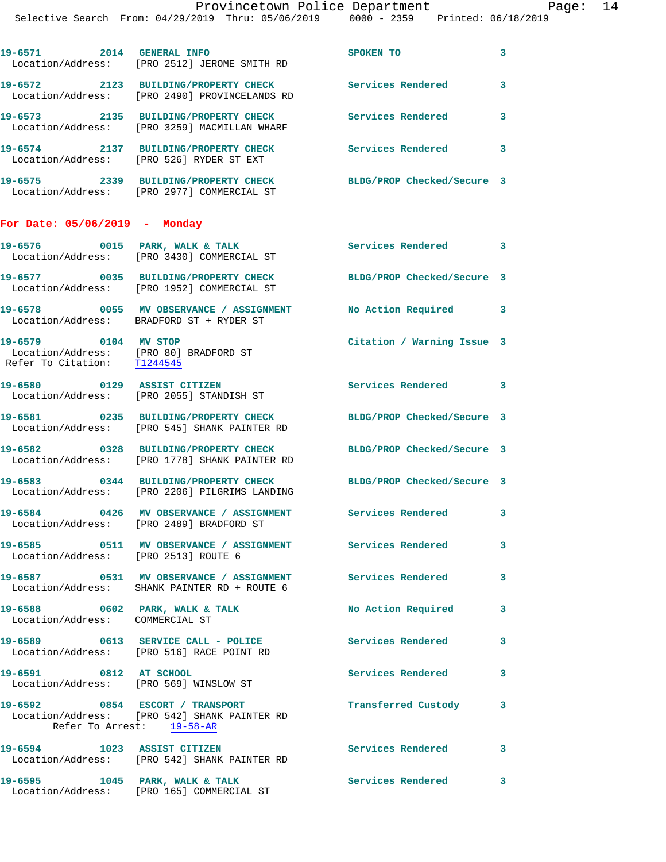| 19-6571<br>2014<br>Location/Address: | <b>GENERAL INFO</b><br>FPRO 25121 JEROME SMITH RD             | SPOKEN TO                  | 3 |
|--------------------------------------|---------------------------------------------------------------|----------------------------|---|
| 19-6572<br>2123<br>Location/Address: | <b>BUILDING/PROPERTY CHECK</b><br>[PRO 2490] PROVINCELANDS RD | Services Rendered          | 3 |
| 19-6573<br>2135<br>Location/Address: | <b>BUILDING/PROPERTY CHECK</b><br>[PRO 3259] MACMILLAN WHARF  | Services Rendered          | 3 |
| 19-6574<br>2137<br>Location/Address: | <b>BUILDING/PROPERTY CHECK</b><br>[PRO 526] RYDER ST EXT      | Services Rendered          | 3 |
| 19-6575<br>2339<br>Location/Address: | <b>BUILDING/PROPERTY CHECK</b><br>[PRO 2977] COMMERCIAL ST    | BLDG/PROP Checked/Secure 3 |   |

## **For Date: 05/06/2019 - Monday**

|                                      | 19-6576 0015 PARK, WALK & TALK<br>Location/Address: [PRO 3430] COMMERCIAL ST                              | Services Rendered 3        |                         |
|--------------------------------------|-----------------------------------------------------------------------------------------------------------|----------------------------|-------------------------|
|                                      | 19-6577 0035 BUILDING/PROPERTY CHECK<br>Location/Address: [PRO 1952] COMMERCIAL ST                        | BLDG/PROP Checked/Secure 3 |                         |
|                                      | 19-6578 0055 MV OBSERVANCE / ASSIGNMENT No Action Required 3<br>Location/Address: BRADFORD ST + RYDER ST  |                            |                         |
| 19-6579 0104 MV STOP                 | Location/Address: [PRO 80] BRADFORD ST<br>Refer To Citation: T1244545                                     | Citation / Warning Issue 3 |                         |
| 19-6580 0129 ASSIST CITIZEN          | Location/Address: [PRO 2055] STANDISH ST                                                                  | Services Rendered 3        |                         |
|                                      | 19-6581 0235 BUILDING/PROPERTY CHECK<br>Location/Address: [PRO 545] SHANK PAINTER RD                      | BLDG/PROP Checked/Secure 3 |                         |
|                                      | 19-6582 0328 BUILDING/PROPERTY CHECK<br>Location/Address: [PRO 1778] SHANK PAINTER RD                     | BLDG/PROP Checked/Secure 3 |                         |
|                                      | 19-6583 0344 BUILDING/PROPERTY CHECK<br>Location/Address: [PRO 2206] PILGRIMS LANDING                     | BLDG/PROP Checked/Secure 3 |                         |
|                                      | 19-6584 0426 MV OBSERVANCE / ASSIGNMENT Services Rendered 3<br>Location/Address: [PRO 2489] BRADFORD ST   |                            |                         |
| Location/Address: [PRO 2513] ROUTE 6 | 19-6585 0511 MV OBSERVANCE / ASSIGNMENT Services Rendered                                                 |                            | $\overline{\mathbf{3}}$ |
|                                      | 19-6587 0531 MV OBSERVANCE / ASSIGNMENT Services Rendered<br>Location/Address: SHANK PAINTER RD + ROUTE 6 |                            | $\mathbf{3}$            |
| Location/Address: COMMERCIAL ST      | $19-6588$ 0602 PARK, WALK & TALK                                                                          | No Action Required         | 3                       |
|                                      | 19-6589 0613 SERVICE CALL - POLICE<br>Location/Address: [PRO 516] RACE POINT RD                           | <b>Services Rendered</b>   | $\overline{\mathbf{3}}$ |
| 19-6591 0812 AT SCHOOL               | Location/Address: [PRO 569] WINSLOW ST                                                                    | Services Rendered          | 3                       |
| Refer To Arrest: 19-58-AR            | 19-6592 0854 ESCORT / TRANSPORT<br>Location/Address: [PRO 542] SHANK PAINTER RD                           | Transferred Custody 3      |                         |
|                                      | 19-6594 1023 ASSIST CITIZEN<br>Location/Address: [PRO 542] SHANK PAINTER RD                               | Services Rendered 3        |                         |

**19-6595 1045 PARK, WALK & TALK Services Rendered 3** 

Location/Address: [PRO 165] COMMERCIAL ST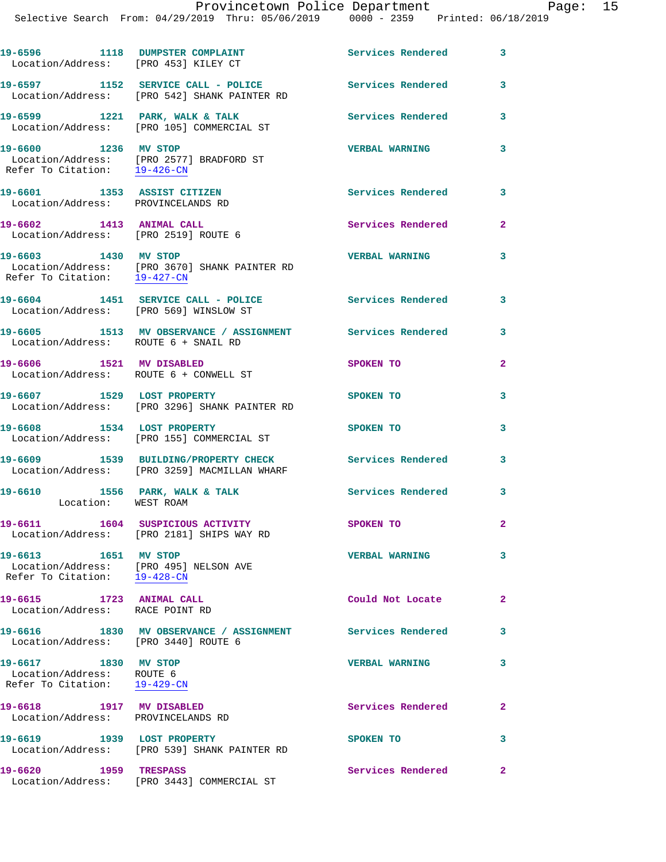| 19-6596 1118 DUMPSTER COMPLAINT<br>Location/Address: [PRO 453] KILEY CT           |                                                                                                        | Services Rendered        | 3            |
|-----------------------------------------------------------------------------------|--------------------------------------------------------------------------------------------------------|--------------------------|--------------|
|                                                                                   | 19-6597 1152 SERVICE CALL - POLICE<br>Location/Address: [PRO 542] SHANK PAINTER RD                     | <b>Services Rendered</b> | 3            |
|                                                                                   | 19-6599 1221 PARK, WALK & TALK<br>Location/Address: [PRO 105] COMMERCIAL ST                            | Services Rendered        | 3            |
| 19-6600 1236 MV STOP<br>Refer To Citation: 19-426-CN                              | Location/Address: [PRO 2577] BRADFORD ST                                                               | <b>VERBAL WARNING</b>    | 3            |
| 19-6601 1353 ASSIST CITIZEN<br>Location/Address: PROVINCELANDS RD                 |                                                                                                        | Services Rendered        | 3            |
| 19-6602 1413 ANIMAL CALL<br>Location/Address: [PRO 2519] ROUTE 6                  |                                                                                                        | Services Rendered        | $\mathbf{2}$ |
| Refer To Citation: 19-427-CN                                                      | 19-6603 1430 MV STOP<br>Location/Address: [PRO 3670] SHANK PAINTER RD                                  | <b>VERBAL WARNING</b>    | 3            |
|                                                                                   | 19-6604 1451 SERVICE CALL - POLICE<br>Location/Address: [PRO 569] WINSLOW ST                           | <b>Services Rendered</b> | 3            |
| Location/Address: ROUTE 6 + SNAIL RD                                              | 19-6605 1513 MV OBSERVANCE / ASSIGNMENT Services Rendered                                              |                          | 3            |
| 19-6606 1521 MV DISABLED<br>Location/Address: ROUTE 6 + CONWELL ST                |                                                                                                        | SPOKEN TO                | $\mathbf{2}$ |
| 19-6607 1529 LOST PROPERTY                                                        | Location/Address: [PRO 3296] SHANK PAINTER RD                                                          | SPOKEN TO                | 3            |
|                                                                                   | 19-6608 1534 LOST PROPERTY<br>Location/Address: [PRO 155] COMMERCIAL ST                                | SPOKEN TO                | 3            |
|                                                                                   | 19-6609 1539 BUILDING/PROPERTY CHECK Services Rendered<br>Location/Address: [PRO 3259] MACMILLAN WHARF |                          | 3            |
| Location: WEST ROAM                                                               | 19-6610 1556 PARK, WALK & TALK                                                                         | Services Rendered        | 3            |
|                                                                                   | 19-6611 1604 SUSPICIOUS ACTIVITY<br>Location/Address: [PRO 2181] SHIPS WAY RD                          | SPOKEN TO                | $\mathbf{2}$ |
| 19-6613 1651 MV STOP<br>Refer To Citation: 19-428-CN                              | Location/Address: [PRO 495] NELSON AVE                                                                 | <b>VERBAL WARNING</b>    | 3            |
| 19-6615 1723 ANIMAL CALL<br>Location/Address: RACE POINT RD                       |                                                                                                        | Could Not Locate         | $\mathbf{2}$ |
| Location/Address: [PRO 3440] ROUTE 6                                              | 19-6616 1830 MV OBSERVANCE / ASSIGNMENT Services Rendered                                              |                          | 3            |
| 19-6617 1830 MV STOP<br>Location/Address: ROUTE 6<br>Refer To Citation: 19-429-CN |                                                                                                        | <b>VERBAL WARNING</b>    | 3            |
| 19-6618 1917 MV DISABLED<br>Location/Address: PROVINCELANDS RD                    |                                                                                                        | Services Rendered        | 2            |
| 19-6619 1939 LOST PROPERTY                                                        | Location/Address: [PRO 539] SHANK PAINTER RD                                                           | SPOKEN TO                | 3            |
| 19-6620 1959 TRESPASS                                                             | Location/Address: [PRO 3443] COMMERCIAL ST                                                             | Services Rendered        | $\mathbf{2}$ |